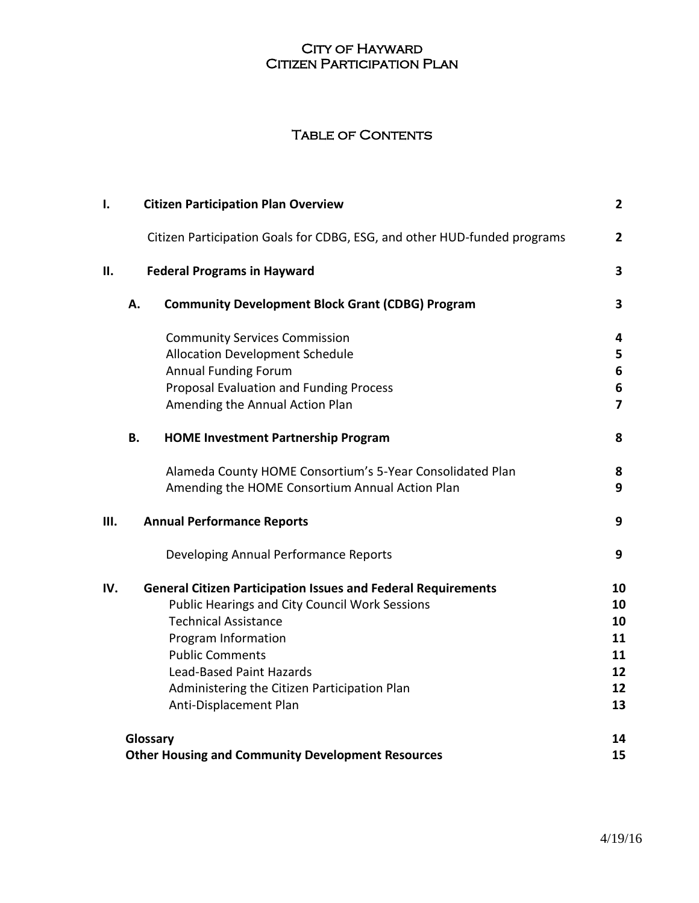## **CITY OF HAYWARD** Citizen Participation Plan

## Table of Contents

| I.  |           | <b>Citizen Participation Plan Overview</b>                               | $\mathbf{2}$            |
|-----|-----------|--------------------------------------------------------------------------|-------------------------|
|     |           | Citizen Participation Goals for CDBG, ESG, and other HUD-funded programs | $\mathbf{2}$            |
| II. |           | <b>Federal Programs in Hayward</b>                                       | 3                       |
|     | Α.        | <b>Community Development Block Grant (CDBG) Program</b>                  | $\overline{\mathbf{3}}$ |
|     |           | <b>Community Services Commission</b>                                     | 4                       |
|     |           | <b>Allocation Development Schedule</b>                                   | 5                       |
|     |           | <b>Annual Funding Forum</b>                                              | 6                       |
|     |           | Proposal Evaluation and Funding Process                                  | 6                       |
|     |           | Amending the Annual Action Plan                                          | $\overline{7}$          |
|     | <b>B.</b> | <b>HOME Investment Partnership Program</b>                               | 8                       |
|     |           | Alameda County HOME Consortium's 5-Year Consolidated Plan                | 8                       |
|     |           | Amending the HOME Consortium Annual Action Plan                          | 9                       |
| Ш.  |           | <b>Annual Performance Reports</b>                                        | 9                       |
|     |           | Developing Annual Performance Reports                                    | 9                       |
| IV. |           | <b>General Citizen Participation Issues and Federal Requirements</b>     | 10                      |
|     |           | <b>Public Hearings and City Council Work Sessions</b>                    | 10                      |
|     |           | <b>Technical Assistance</b>                                              | 10                      |
|     |           | Program Information                                                      | 11                      |
|     |           | <b>Public Comments</b>                                                   | 11                      |
|     |           | Lead-Based Paint Hazards                                                 | 12                      |
|     |           | Administering the Citizen Participation Plan                             | 12                      |
|     |           | Anti-Displacement Plan                                                   | 13                      |
|     | Glossary  |                                                                          | 14                      |
|     |           | <b>Other Housing and Community Development Resources</b>                 | 15                      |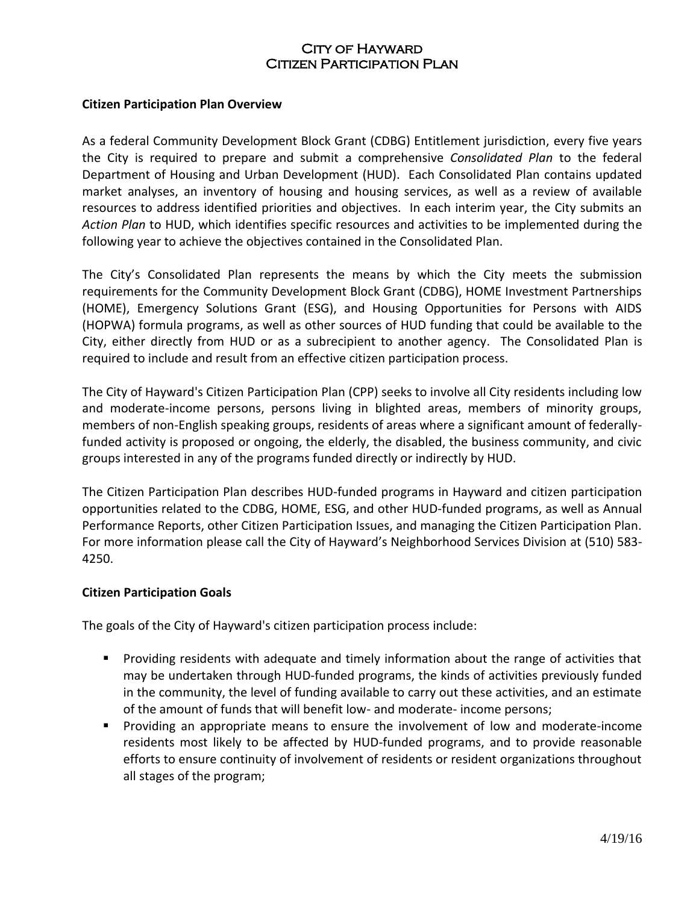#### **Citizen Participation Plan Overview**

As a federal Community Development Block Grant (CDBG) Entitlement jurisdiction, every five years the City is required to prepare and submit a comprehensive *Consolidated Plan* to the federal Department of Housing and Urban Development (HUD). Each Consolidated Plan contains updated market analyses, an inventory of housing and housing services, as well as a review of available resources to address identified priorities and objectives. In each interim year, the City submits an *Action Plan* to HUD, which identifies specific resources and activities to be implemented during the following year to achieve the objectives contained in the Consolidated Plan.

The City's Consolidated Plan represents the means by which the City meets the submission requirements for the Community Development Block Grant (CDBG), HOME Investment Partnerships (HOME), Emergency Solutions Grant (ESG), and Housing Opportunities for Persons with AIDS (HOPWA) formula programs, as well as other sources of HUD funding that could be available to the City, either directly from HUD or as a subrecipient to another agency. The Consolidated Plan is required to include and result from an effective citizen participation process.

The City of Hayward's Citizen Participation Plan (CPP) seeks to involve all City residents including low and moderate-income persons, persons living in blighted areas, members of minority groups, members of non-English speaking groups, residents of areas where a significant amount of federallyfunded activity is proposed or ongoing, the elderly, the disabled, the business community, and civic groups interested in any of the programs funded directly or indirectly by HUD.

The Citizen Participation Plan describes HUD-funded programs in Hayward and citizen participation opportunities related to the CDBG, HOME, ESG, and other HUD-funded programs, as well as Annual Performance Reports, other Citizen Participation Issues, and managing the Citizen Participation Plan. For more information please call the City of Hayward's Neighborhood Services Division at (510) 583- 4250.

#### **Citizen Participation Goals**

The goals of the City of Hayward's citizen participation process include:

- Providing residents with adequate and timely information about the range of activities that may be undertaken through HUD-funded programs, the kinds of activities previously funded in the community, the level of funding available to carry out these activities, and an estimate of the amount of funds that will benefit low- and moderate- income persons;
- Providing an appropriate means to ensure the involvement of low and moderate-income residents most likely to be affected by HUD-funded programs, and to provide reasonable efforts to ensure continuity of involvement of residents or resident organizations throughout all stages of the program;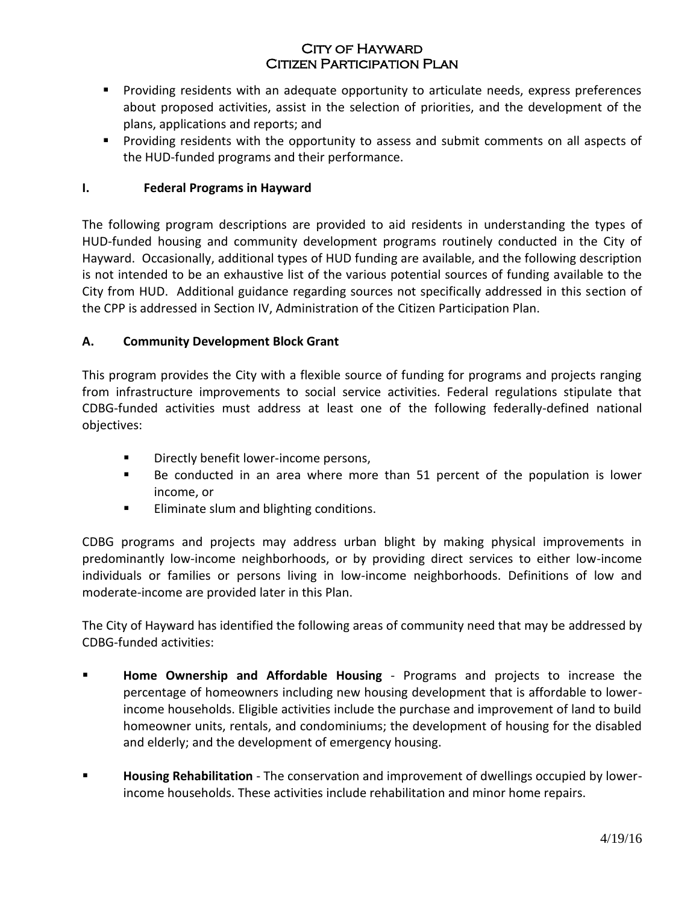- **Providing residents with an adequate opportunity to articulate needs, express preferences** about proposed activities, assist in the selection of priorities, and the development of the plans, applications and reports; and
- Providing residents with the opportunity to assess and submit comments on all aspects of the HUD-funded programs and their performance.

## **I. Federal Programs in Hayward**

The following program descriptions are provided to aid residents in understanding the types of HUD-funded housing and community development programs routinely conducted in the City of Hayward. Occasionally, additional types of HUD funding are available, and the following description is not intended to be an exhaustive list of the various potential sources of funding available to the City from HUD. Additional guidance regarding sources not specifically addressed in this section of the CPP is addressed in Section IV, Administration of the Citizen Participation Plan.

## **A. Community Development Block Grant**

This program provides the City with a flexible source of funding for programs and projects ranging from infrastructure improvements to social service activities. Federal regulations stipulate that CDBG-funded activities must address at least one of the following federally-defined national objectives:

- **Directly benefit lower-income persons,**
- Be conducted in an area where more than 51 percent of the population is lower income, or
- **Eliminate slum and blighting conditions.**

CDBG programs and projects may address urban blight by making physical improvements in predominantly low-income neighborhoods, or by providing direct services to either low-income individuals or families or persons living in low-income neighborhoods. Definitions of low and moderate-income are provided later in this Plan.

The City of Hayward has identified the following areas of community need that may be addressed by CDBG-funded activities:

- **Home Ownership and Affordable Housing** Programs and projects to increase the percentage of homeowners including new housing development that is affordable to lowerincome households. Eligible activities include the purchase and improvement of land to build homeowner units, rentals, and condominiums; the development of housing for the disabled and elderly; and the development of emergency housing.
- **Housing Rehabilitation** The conservation and improvement of dwellings occupied by lowerincome households. These activities include rehabilitation and minor home repairs.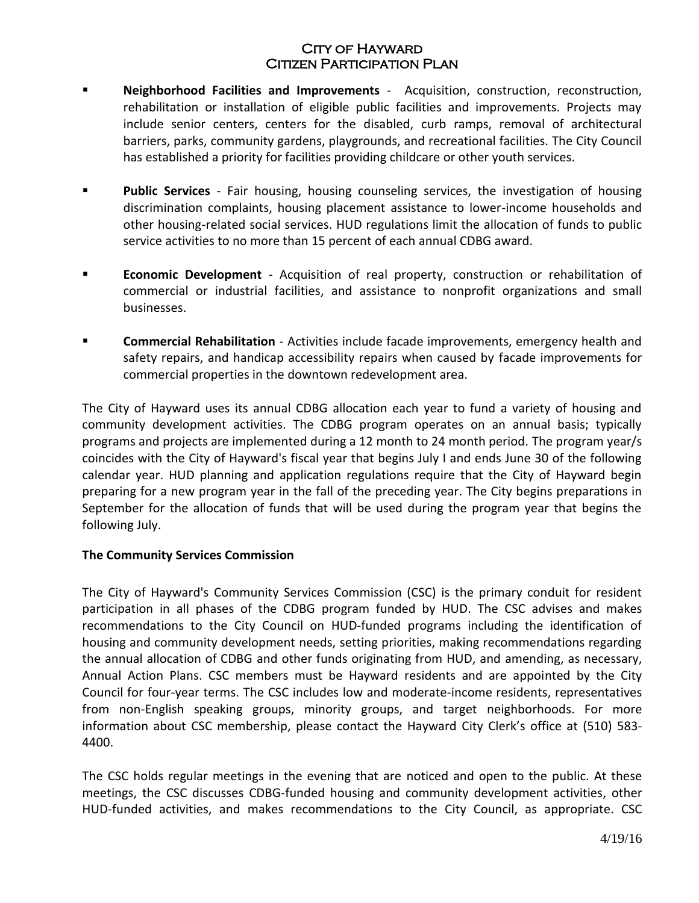- **Neighborhood Facilities and Improvements** Acquisition, construction, reconstruction, rehabilitation or installation of eligible public facilities and improvements. Projects may include senior centers, centers for the disabled, curb ramps, removal of architectural barriers, parks, community gardens, playgrounds, and recreational facilities. The City Council has established a priority for facilities providing childcare or other youth services.
- **Public Services** Fair housing, housing counseling services, the investigation of housing discrimination complaints, housing placement assistance to lower-income households and other housing-related social services. HUD regulations limit the allocation of funds to public service activities to no more than 15 percent of each annual CDBG award.
- **Economic Development** Acquisition of real property, construction or rehabilitation of commercial or industrial facilities, and assistance to nonprofit organizations and small businesses.
- **Commercial Rehabilitation** Activities include facade improvements, emergency health and safety repairs, and handicap accessibility repairs when caused by facade improvements for commercial properties in the downtown redevelopment area.

The City of Hayward uses its annual CDBG allocation each year to fund a variety of housing and community development activities. The CDBG program operates on an annual basis; typically programs and projects are implemented during a 12 month to 24 month period. The program year/s coincides with the City of Hayward's fiscal year that begins July I and ends June 30 of the following calendar year. HUD planning and application regulations require that the City of Hayward begin preparing for a new program year in the fall of the preceding year. The City begins preparations in September for the allocation of funds that will be used during the program year that begins the following July.

#### **The Community Services Commission**

The City of Hayward's Community Services Commission (CSC) is the primary conduit for resident participation in all phases of the CDBG program funded by HUD. The CSC advises and makes recommendations to the City Council on HUD-funded programs including the identification of housing and community development needs, setting priorities, making recommendations regarding the annual allocation of CDBG and other funds originating from HUD, and amending, as necessary, Annual Action Plans. CSC members must be Hayward residents and are appointed by the City Council for four-year terms. The CSC includes low and moderate-income residents, representatives from non-English speaking groups, minority groups, and target neighborhoods. For more information about CSC membership, please contact the Hayward City Clerk's office at (510) 583- 4400.

The CSC holds regular meetings in the evening that are noticed and open to the public. At these meetings, the CSC discusses CDBG-funded housing and community development activities, other HUD-funded activities, and makes recommendations to the City Council, as appropriate. CSC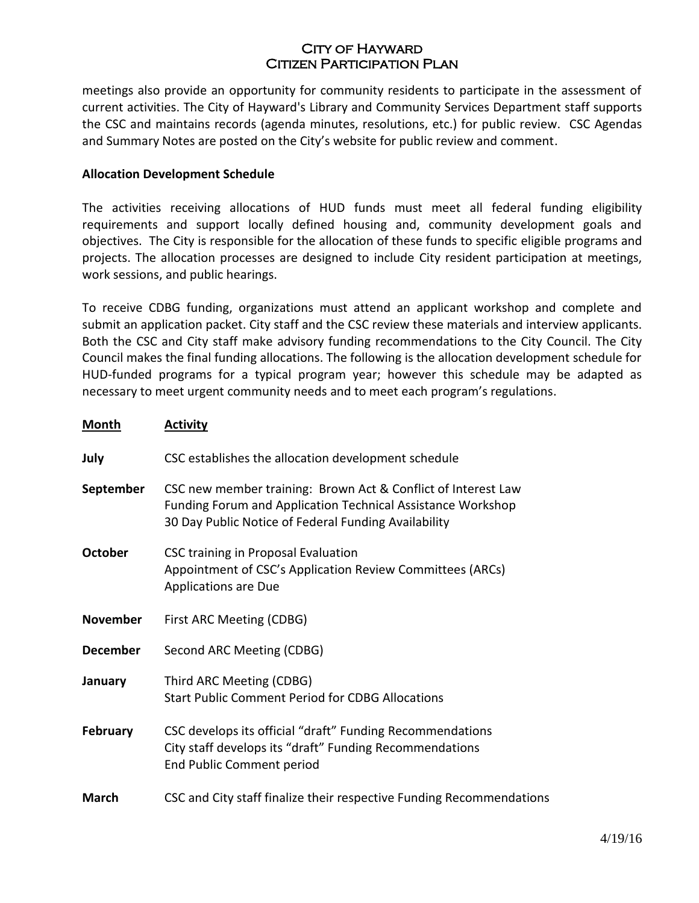meetings also provide an opportunity for community residents to participate in the assessment of current activities. The City of Hayward's Library and Community Services Department staff supports the CSC and maintains records (agenda minutes, resolutions, etc.) for public review. CSC Agendas and Summary Notes are posted on the City's website for public review and comment.

#### **Allocation Development Schedule**

The activities receiving allocations of HUD funds must meet all federal funding eligibility requirements and support locally defined housing and, community development goals and objectives. The City is responsible for the allocation of these funds to specific eligible programs and projects. The allocation processes are designed to include City resident participation at meetings, work sessions, and public hearings.

To receive CDBG funding, organizations must attend an applicant workshop and complete and submit an application packet. City staff and the CSC review these materials and interview applicants. Both the CSC and City staff make advisory funding recommendations to the City Council. The City Council makes the final funding allocations. The following is the allocation development schedule for HUD-funded programs for a typical program year; however this schedule may be adapted as necessary to meet urgent community needs and to meet each program's regulations.

| <b>Month</b>    | <b>Activity</b>                                                                                                                                                                             |
|-----------------|---------------------------------------------------------------------------------------------------------------------------------------------------------------------------------------------|
| July            | CSC establishes the allocation development schedule                                                                                                                                         |
| September       | CSC new member training: Brown Act & Conflict of Interest Law<br><b>Funding Forum and Application Technical Assistance Workshop</b><br>30 Day Public Notice of Federal Funding Availability |
| <b>October</b>  | CSC training in Proposal Evaluation<br>Appointment of CSC's Application Review Committees (ARCs)<br><b>Applications are Due</b>                                                             |
| <b>November</b> | First ARC Meeting (CDBG)                                                                                                                                                                    |
| <b>December</b> | Second ARC Meeting (CDBG)                                                                                                                                                                   |
| January         | Third ARC Meeting (CDBG)<br><b>Start Public Comment Period for CDBG Allocations</b>                                                                                                         |
| <b>February</b> | CSC develops its official "draft" Funding Recommendations<br>City staff develops its "draft" Funding Recommendations<br>End Public Comment period                                           |
| <b>March</b>    | CSC and City staff finalize their respective Funding Recommendations                                                                                                                        |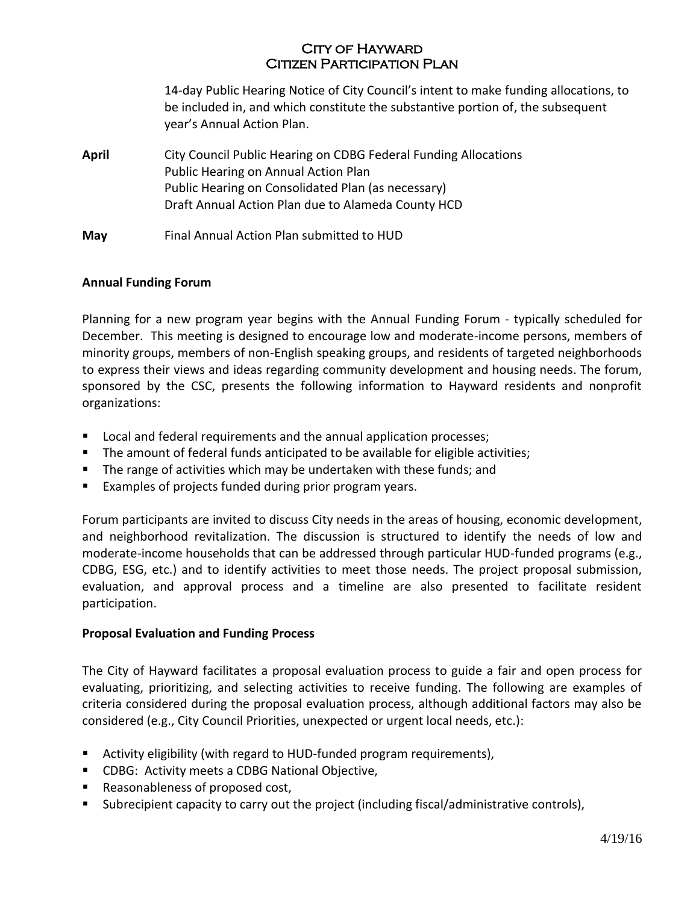14-day Public Hearing Notice of City Council's intent to make funding allocations, to be included in, and which constitute the substantive portion of, the subsequent year's Annual Action Plan.

**April** City Council Public Hearing on CDBG Federal Funding Allocations Public Hearing on Annual Action Plan Public Hearing on Consolidated Plan (as necessary) Draft Annual Action Plan due to Alameda County HCD

**May** Final Annual Action Plan submitted to HUD

#### **Annual Funding Forum**

Planning for a new program year begins with the Annual Funding Forum - typically scheduled for December. This meeting is designed to encourage low and moderate-income persons, members of minority groups, members of non-English speaking groups, and residents of targeted neighborhoods to express their views and ideas regarding community development and housing needs. The forum, sponsored by the CSC, presents the following information to Hayward residents and nonprofit organizations:

- **Local and federal requirements and the annual application processes;**
- The amount of federal funds anticipated to be available for eligible activities;
- **The range of activities which may be undertaken with these funds; and**
- Examples of projects funded during prior program years.

Forum participants are invited to discuss City needs in the areas of housing, economic development, and neighborhood revitalization. The discussion is structured to identify the needs of low and moderate-income households that can be addressed through particular HUD-funded programs (e.g., CDBG, ESG, etc.) and to identify activities to meet those needs. The project proposal submission, evaluation, and approval process and a timeline are also presented to facilitate resident participation.

#### **Proposal Evaluation and Funding Process**

The City of Hayward facilitates a proposal evaluation process to guide a fair and open process for evaluating, prioritizing, and selecting activities to receive funding. The following are examples of criteria considered during the proposal evaluation process, although additional factors may also be considered (e.g., City Council Priorities, unexpected or urgent local needs, etc.):

- Activity eligibility (with regard to HUD-funded program requirements),
- **CDBG: Activity meets a CDBG National Objective,**
- Reasonableness of proposed cost,
- Subrecipient capacity to carry out the project (including fiscal/administrative controls),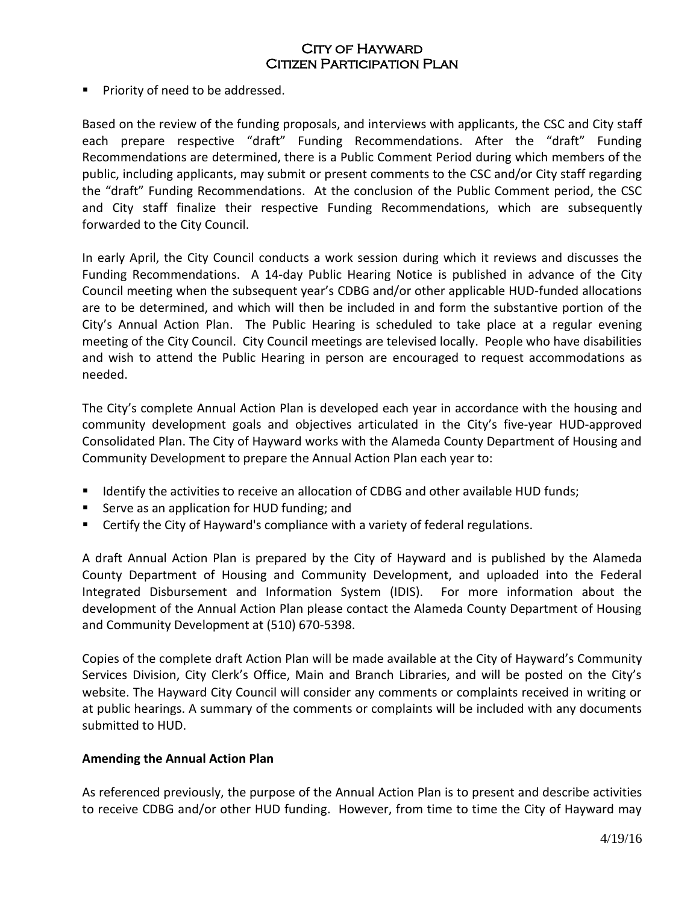## City of Hayward Citizen Participation Plan

**Priority of need to be addressed.** 

Based on the review of the funding proposals, and interviews with applicants, the CSC and City staff each prepare respective "draft" Funding Recommendations. After the "draft" Funding Recommendations are determined, there is a Public Comment Period during which members of the public, including applicants, may submit or present comments to the CSC and/or City staff regarding the "draft" Funding Recommendations. At the conclusion of the Public Comment period, the CSC and City staff finalize their respective Funding Recommendations, which are subsequently forwarded to the City Council.

In early April, the City Council conducts a work session during which it reviews and discusses the Funding Recommendations. A 14-day Public Hearing Notice is published in advance of the City Council meeting when the subsequent year's CDBG and/or other applicable HUD-funded allocations are to be determined, and which will then be included in and form the substantive portion of the City's Annual Action Plan. The Public Hearing is scheduled to take place at a regular evening meeting of the City Council. City Council meetings are televised locally. People who have disabilities and wish to attend the Public Hearing in person are encouraged to request accommodations as needed.

The City's complete Annual Action Plan is developed each year in accordance with the housing and community development goals and objectives articulated in the City's five-year HUD-approved Consolidated Plan. The City of Hayward works with the Alameda County Department of Housing and Community Development to prepare the Annual Action Plan each year to:

- **IDENTIFY 19 IDENTIFY THE ACT IS CONTENT** Identify the activities; I dentify the activities;
- Serve as an application for HUD funding; and
- **EXECT** Certify the City of Hayward's compliance with a variety of federal regulations.

A draft Annual Action Plan is prepared by the City of Hayward and is published by the Alameda County Department of Housing and Community Development, and uploaded into the Federal Integrated Disbursement and Information System (IDIS). For more information about the development of the Annual Action Plan please contact the Alameda County Department of Housing and Community Development at (510) 670-5398.

Copies of the complete draft Action Plan will be made available at the City of Hayward's Community Services Division, City Clerk's Office, Main and Branch Libraries, and will be posted on the City's website. The Hayward City Council will consider any comments or complaints received in writing or at public hearings. A summary of the comments or complaints will be included with any documents submitted to HUD.

#### **Amending the Annual Action Plan**

As referenced previously, the purpose of the Annual Action Plan is to present and describe activities to receive CDBG and/or other HUD funding. However, from time to time the City of Hayward may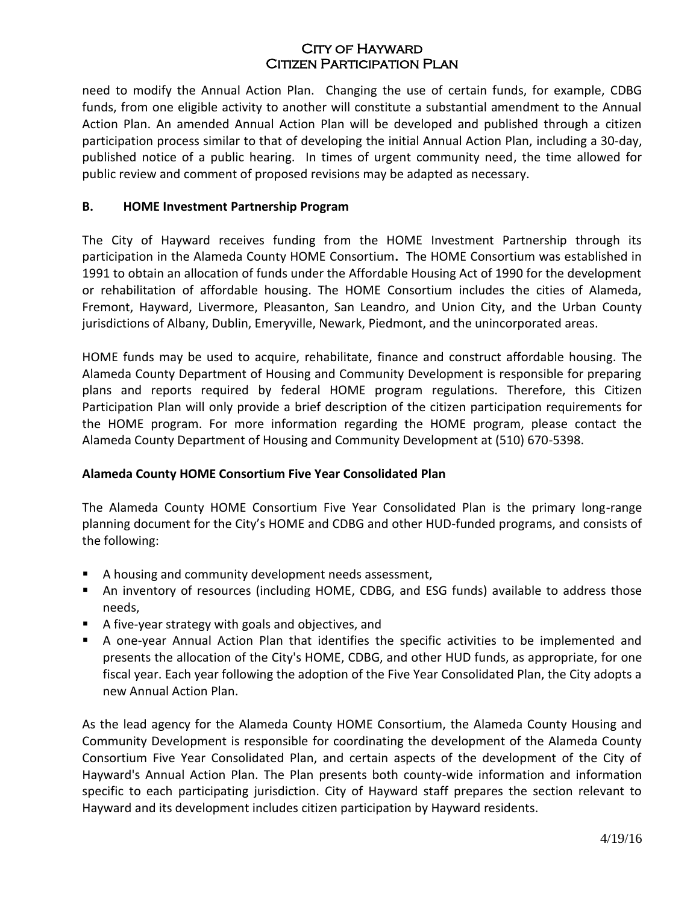need to modify the Annual Action Plan. Changing the use of certain funds, for example, CDBG funds, from one eligible activity to another will constitute a substantial amendment to the Annual Action Plan. An amended Annual Action Plan will be developed and published through a citizen participation process similar to that of developing the initial Annual Action Plan, including a 30-day, published notice of a public hearing. In times of urgent community need, the time allowed for public review and comment of proposed revisions may be adapted as necessary.

### **B. HOME Investment Partnership Program**

The City of Hayward receives funding from the HOME Investment Partnership through its participation in the Alameda County HOME Consortium**.** The HOME Consortium was established in 1991 to obtain an allocation of funds under the Affordable Housing Act of 1990 for the development or rehabilitation of affordable housing. The HOME Consortium includes the cities of Alameda, Fremont, Hayward, Livermore, Pleasanton, San Leandro, and Union City, and the Urban County jurisdictions of Albany, Dublin, Emeryville, Newark, Piedmont, and the unincorporated areas.

HOME funds may be used to acquire, rehabilitate, finance and construct affordable housing. The Alameda County Department of Housing and Community Development is responsible for preparing plans and reports required by federal HOME program regulations. Therefore, this Citizen Participation Plan will only provide a brief description of the citizen participation requirements for the HOME program. For more information regarding the HOME program, please contact the Alameda County Department of Housing and Community Development at (510) 670-5398.

## **Alameda County HOME Consortium Five Year Consolidated Plan**

The Alameda County HOME Consortium Five Year Consolidated Plan is the primary long-range planning document for the City's HOME and CDBG and other HUD-funded programs, and consists of the following:

- A housing and community development needs assessment,
- An inventory of resources (including HOME, CDBG, and ESG funds) available to address those needs,
- A five-year strategy with goals and objectives, and
- A one-year Annual Action Plan that identifies the specific activities to be implemented and presents the allocation of the City's HOME, CDBG, and other HUD funds, as appropriate, for one fiscal year. Each year following the adoption of the Five Year Consolidated Plan, the City adopts a new Annual Action Plan.

As the lead agency for the Alameda County HOME Consortium, the Alameda County Housing and Community Development is responsible for coordinating the development of the Alameda County Consortium Five Year Consolidated Plan, and certain aspects of the development of the City of Hayward's Annual Action Plan. The Plan presents both county-wide information and information specific to each participating jurisdiction. City of Hayward staff prepares the section relevant to Hayward and its development includes citizen participation by Hayward residents.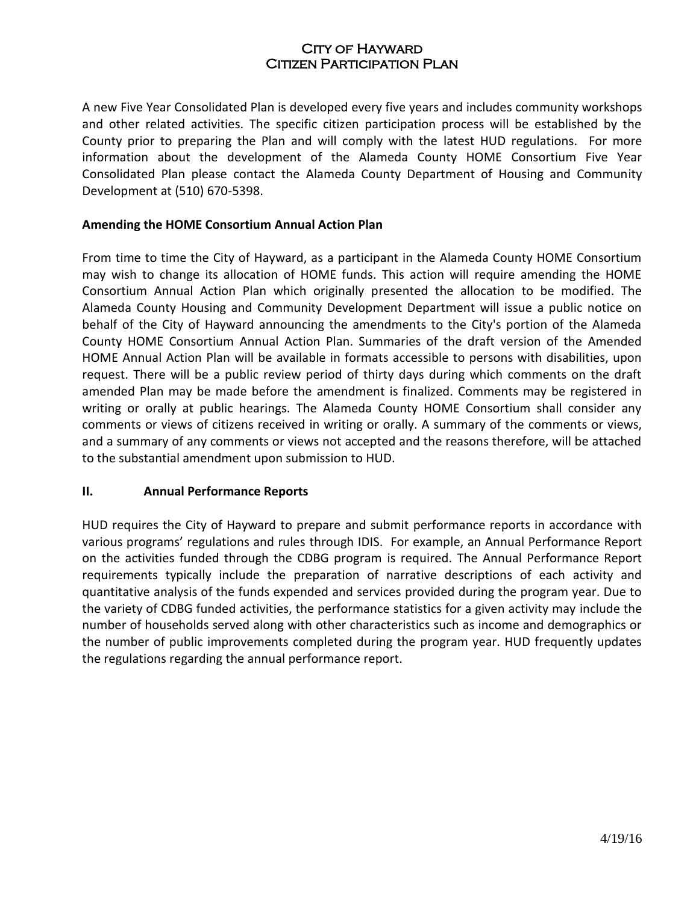A new Five Year Consolidated Plan is developed every five years and includes community workshops and other related activities. The specific citizen participation process will be established by the County prior to preparing the Plan and will comply with the latest HUD regulations. For more information about the development of the Alameda County HOME Consortium Five Year Consolidated Plan please contact the Alameda County Department of Housing and Community Development at (510) 670-5398.

#### **Amending the HOME Consortium Annual Action Plan**

From time to time the City of Hayward, as a participant in the Alameda County HOME Consortium may wish to change its allocation of HOME funds. This action will require amending the HOME Consortium Annual Action Plan which originally presented the allocation to be modified. The Alameda County Housing and Community Development Department will issue a public notice on behalf of the City of Hayward announcing the amendments to the City's portion of the Alameda County HOME Consortium Annual Action Plan. Summaries of the draft version of the Amended HOME Annual Action Plan will be available in formats accessible to persons with disabilities, upon request. There will be a public review period of thirty days during which comments on the draft amended Plan may be made before the amendment is finalized. Comments may be registered in writing or orally at public hearings. The Alameda County HOME Consortium shall consider any comments or views of citizens received in writing or orally. A summary of the comments or views, and a summary of any comments or views not accepted and the reasons therefore, will be attached to the substantial amendment upon submission to HUD.

#### **II. Annual Performance Reports**

HUD requires the City of Hayward to prepare and submit performance reports in accordance with various programs' regulations and rules through IDIS. For example, an Annual Performance Report on the activities funded through the CDBG program is required. The Annual Performance Report requirements typically include the preparation of narrative descriptions of each activity and quantitative analysis of the funds expended and services provided during the program year. Due to the variety of CDBG funded activities, the performance statistics for a given activity may include the number of households served along with other characteristics such as income and demographics or the number of public improvements completed during the program year. HUD frequently updates the regulations regarding the annual performance report.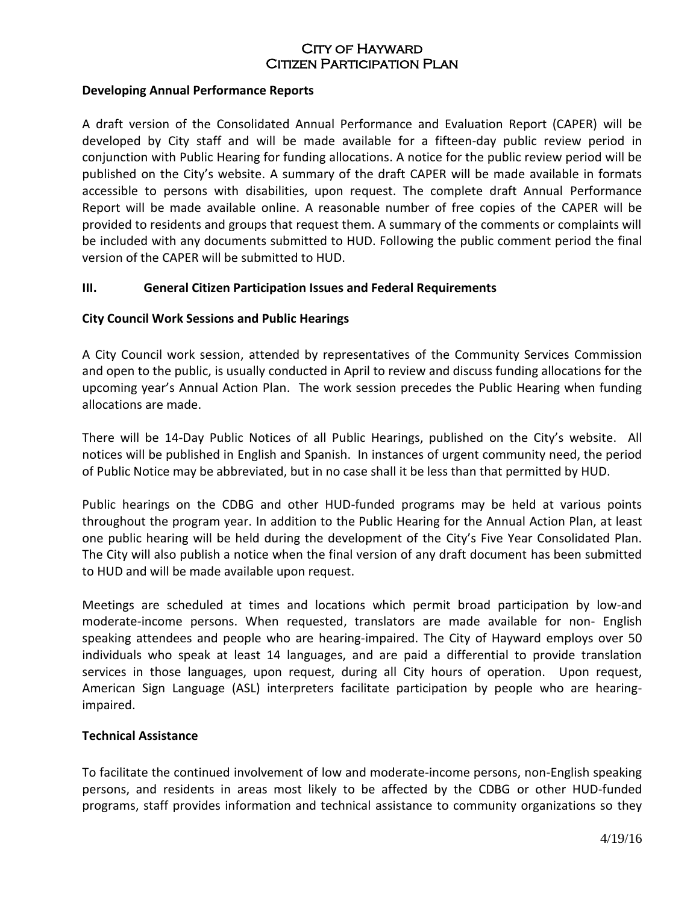#### **Developing Annual Performance Reports**

A draft version of the Consolidated Annual Performance and Evaluation Report (CAPER) will be developed by City staff and will be made available for a fifteen-day public review period in conjunction with Public Hearing for funding allocations. A notice for the public review period will be published on the City's website. A summary of the draft CAPER will be made available in formats accessible to persons with disabilities, upon request. The complete draft Annual Performance Report will be made available online. A reasonable number of free copies of the CAPER will be provided to residents and groups that request them. A summary of the comments or complaints will be included with any documents submitted to HUD. Following the public comment period the final version of the CAPER will be submitted to HUD.

#### **III. General Citizen Participation Issues and Federal Requirements**

#### **City Council Work Sessions and Public Hearings**

A City Council work session, attended by representatives of the Community Services Commission and open to the public, is usually conducted in April to review and discuss funding allocations for the upcoming year's Annual Action Plan. The work session precedes the Public Hearing when funding allocations are made.

There will be 14-Day Public Notices of all Public Hearings, published on the City's website. All notices will be published in English and Spanish. In instances of urgent community need, the period of Public Notice may be abbreviated, but in no case shall it be less than that permitted by HUD.

Public hearings on the CDBG and other HUD-funded programs may be held at various points throughout the program year. In addition to the Public Hearing for the Annual Action Plan, at least one public hearing will be held during the development of the City's Five Year Consolidated Plan. The City will also publish a notice when the final version of any draft document has been submitted to HUD and will be made available upon request.

Meetings are scheduled at times and locations which permit broad participation by low-and moderate-income persons. When requested, translators are made available for non- English speaking attendees and people who are hearing-impaired. The City of Hayward employs over 50 individuals who speak at least 14 languages, and are paid a differential to provide translation services in those languages, upon request, during all City hours of operation. Upon request, American Sign Language (ASL) interpreters facilitate participation by people who are hearingimpaired.

#### **Technical Assistance**

To facilitate the continued involvement of low and moderate-income persons, non-English speaking persons, and residents in areas most likely to be affected by the CDBG or other HUD-funded programs, staff provides information and technical assistance to community organizations so they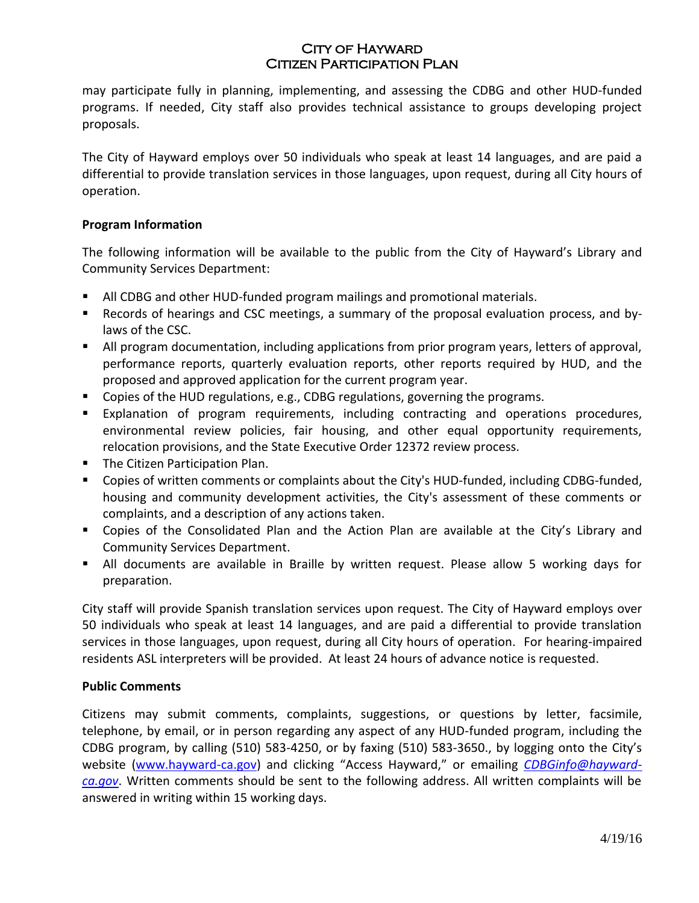may participate fully in planning, implementing, and assessing the CDBG and other HUD-funded programs. If needed, City staff also provides technical assistance to groups developing project proposals.

The City of Hayward employs over 50 individuals who speak at least 14 languages, and are paid a differential to provide translation services in those languages, upon request, during all City hours of operation.

## **Program Information**

The following information will be available to the public from the City of Hayward's Library and Community Services Department:

- All CDBG and other HUD-funded program mailings and promotional materials.
- Records of hearings and CSC meetings, a summary of the proposal evaluation process, and bylaws of the CSC.
- All program documentation, including applications from prior program years, letters of approval, performance reports, quarterly evaluation reports, other reports required by HUD, and the proposed and approved application for the current program year.
- Copies of the HUD regulations, e.g., CDBG regulations, governing the programs.
- Explanation of program requirements, including contracting and operations procedures, environmental review policies, fair housing, and other equal opportunity requirements, relocation provisions, and the State Executive Order 12372 review process.
- **The Citizen Participation Plan.**
- Copies of written comments or complaints about the City's HUD-funded, including CDBG-funded, housing and community development activities, the City's assessment of these comments or complaints, and a description of any actions taken.
- Copies of the Consolidated Plan and the Action Plan are available at the City's Library and Community Services Department.
- All documents are available in Braille by written request. Please allow 5 working days for preparation.

City staff will provide Spanish translation services upon request. The City of Hayward employs over 50 individuals who speak at least 14 languages, and are paid a differential to provide translation services in those languages, upon request, during all City hours of operation. For hearing-impaired residents ASL interpreters will be provided. At least 24 hours of advance notice is requested.

#### **Public Comments**

Citizens may submit comments, complaints, suggestions, or questions by letter, facsimile, telephone, by email, or in person regarding any aspect of any HUD-funded program, including the CDBG program, by calling (510) 583-4250, or by faxing (510) 583-3650., by logging onto the City's website [\(www.hayward-ca.gov](http://www.hayward-ca.gov/)) and clicking "Access Hayward," or emailing *[CDBGinfo@hayward](mailto:CDBGinfo@hayward-ca.gov)[ca.gov](mailto:CDBGinfo@hayward-ca.gov)*. Written comments should be sent to the following address. All written complaints will be answered in writing within 15 working days.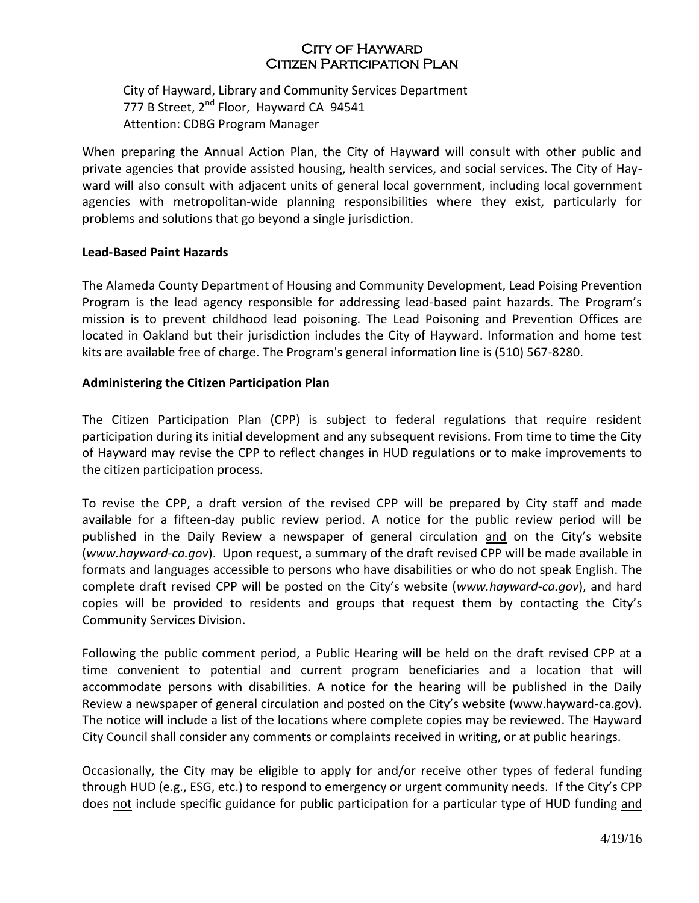City of Hayward, Library and Community Services Department 777 B Street, 2<sup>nd</sup> Floor, Hayward CA 94541 Attention: CDBG Program Manager

When preparing the Annual Action Plan, the City of Hayward will consult with other public and private agencies that provide assisted housing, health services, and social services. The City of Hayward will also consult with adjacent units of general local government, including local government agencies with metropolitan-wide planning responsibilities where they exist, particularly for problems and solutions that go beyond a single jurisdiction.

#### **Lead-Based Paint Hazards**

The Alameda County Department of Housing and Community Development, Lead Poising Prevention Program is the lead agency responsible for addressing lead-based paint hazards. The Program's mission is to prevent childhood lead poisoning. The Lead Poisoning and Prevention Offices are located in Oakland but their jurisdiction includes the City of Hayward. Information and home test kits are available free of charge. The Program's general information line is (510) 567-8280.

#### **Administering the Citizen Participation Plan**

The Citizen Participation Plan (CPP) is subject to federal regulations that require resident participation during its initial development and any subsequent revisions. From time to time the City of Hayward may revise the CPP to reflect changes in HUD regulations or to make improvements to the citizen participation process.

To revise the CPP, a draft version of the revised CPP will be prepared by City staff and made available for a fifteen-day public review period. A notice for the public review period will be published in the Daily Review a newspaper of general circulation and on the City's website (*www.hayward-ca.gov*). Upon request, a summary of the draft revised CPP will be made available in formats and languages accessible to persons who have disabilities or who do not speak English. The complete draft revised CPP will be posted on the City's website (*www.hayward-ca.gov*), and hard copies will be provided to residents and groups that request them by contacting the City's Community Services Division.

Following the public comment period, a Public Hearing will be held on the draft revised CPP at a time convenient to potential and current program beneficiaries and a location that will accommodate persons with disabilities. A notice for the hearing will be published in the Daily Review a newspaper of general circulation and posted on the City's website (www.hayward-ca.gov). The notice will include a list of the locations where complete copies may be reviewed. The Hayward City Council shall consider any comments or complaints received in writing, or at public hearings.

Occasionally, the City may be eligible to apply for and/or receive other types of federal funding through HUD (e.g., ESG, etc.) to respond to emergency or urgent community needs. If the City's CPP does not include specific guidance for public participation for a particular type of HUD funding and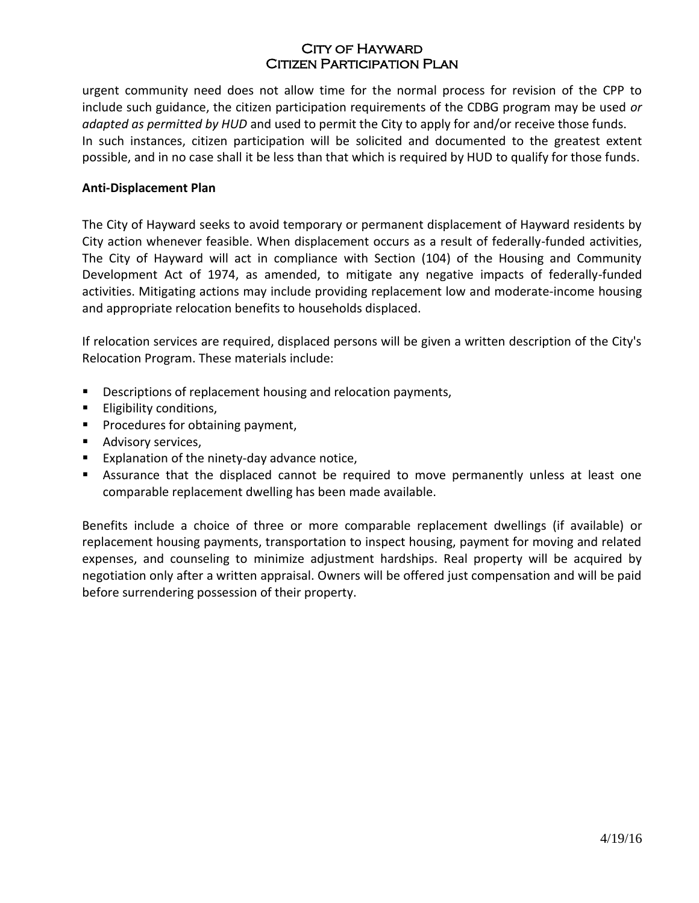urgent community need does not allow time for the normal process for revision of the CPP to include such guidance, the citizen participation requirements of the CDBG program may be used *or adapted as permitted by HUD* and used to permit the City to apply for and/or receive those funds. In such instances, citizen participation will be solicited and documented to the greatest extent possible, and in no case shall it be less than that which is required by HUD to qualify for those funds.

#### **Anti-Displacement Plan**

The City of Hayward seeks to avoid temporary or permanent displacement of Hayward residents by City action whenever feasible. When displacement occurs as a result of federally-funded activities, The City of Hayward will act in compliance with Section (104) of the Housing and Community Development Act of 1974, as amended, to mitigate any negative impacts of federally-funded activities. Mitigating actions may include providing replacement low and moderate-income housing and appropriate relocation benefits to households displaced.

If relocation services are required, displaced persons will be given a written description of the City's Relocation Program. These materials include:

- Descriptions of replacement housing and relocation payments,
- **Eligibility conditions,**
- **Procedures for obtaining payment,**
- **Advisory services,**
- **Explanation of the ninety-day advance notice,**
- Assurance that the displaced cannot be required to move permanently unless at least one comparable replacement dwelling has been made available.

Benefits include a choice of three or more comparable replacement dwellings (if available) or replacement housing payments, transportation to inspect housing, payment for moving and related expenses, and counseling to minimize adjustment hardships. Real property will be acquired by negotiation only after a written appraisal. Owners will be offered just compensation and will be paid before surrendering possession of their property.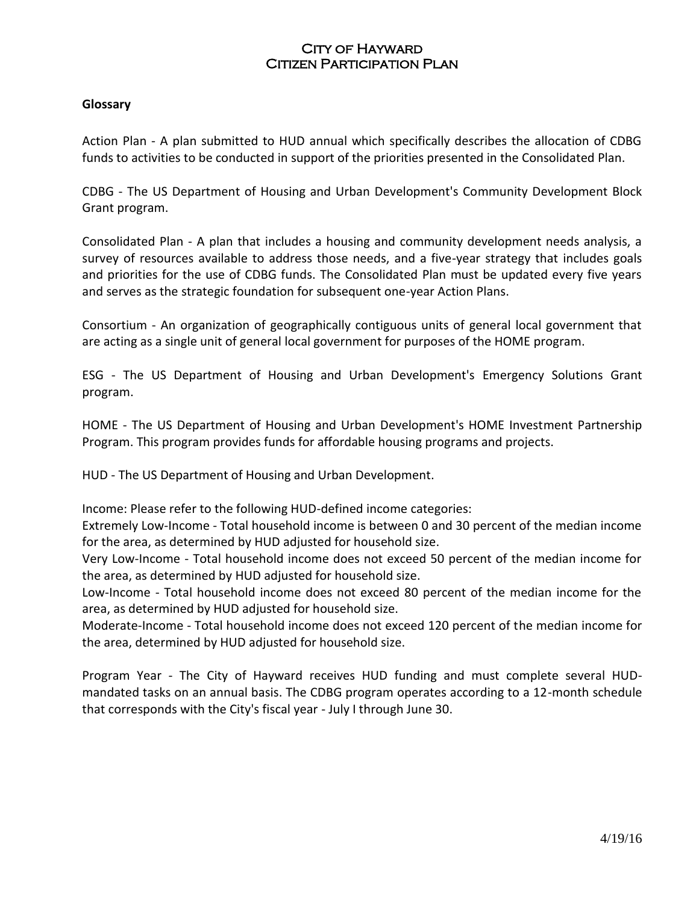#### **Glossary**

Action Plan - A plan submitted to HUD annual which specifically describes the allocation of CDBG funds to activities to be conducted in support of the priorities presented in the Consolidated Plan.

CDBG - The US Department of Housing and Urban Development's Community Development Block Grant program.

Consolidated Plan - A plan that includes a housing and community development needs analysis, a survey of resources available to address those needs, and a five-year strategy that includes goals and priorities for the use of CDBG funds. The Consolidated Plan must be updated every five years and serves as the strategic foundation for subsequent one-year Action Plans.

Consortium - An organization of geographically contiguous units of general local government that are acting as a single unit of general local government for purposes of the HOME program.

ESG - The US Department of Housing and Urban Development's Emergency Solutions Grant program.

HOME - The US Department of Housing and Urban Development's HOME Investment Partnership Program. This program provides funds for affordable housing programs and projects.

HUD - The US Department of Housing and Urban Development.

Income: Please refer to the following HUD-defined income categories:

Extremely Low-Income - Total household income is between 0 and 30 percent of the median income for the area, as determined by HUD adjusted for household size.

Very Low-Income - Total household income does not exceed 50 percent of the median income for the area, as determined by HUD adjusted for household size.

Low-Income - Total household income does not exceed 80 percent of the median income for the area, as determined by HUD adjusted for household size.

Moderate-Income - Total household income does not exceed 120 percent of the median income for the area, determined by HUD adjusted for household size.

Program Year - The City of Hayward receives HUD funding and must complete several HUDmandated tasks on an annual basis. The CDBG program operates according to a 12-month schedule that corresponds with the City's fiscal year - July I through June 30.